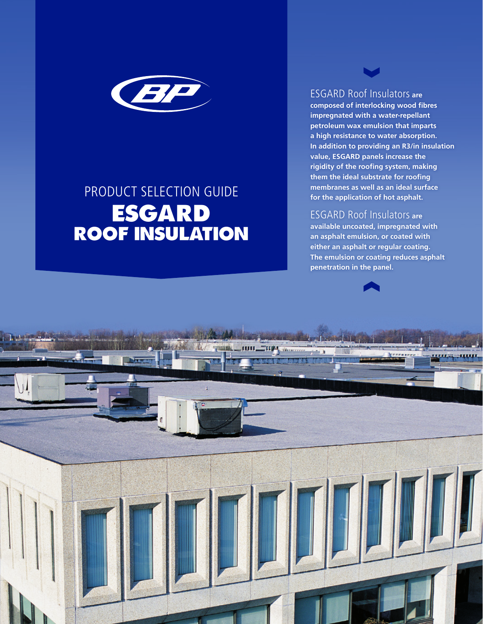

# PRODUCT SELECTION GUIDE ESGARD ROOF INSULATION

ESGARD Roof Insulators **are** 

**V** 

**composed of interlocking wood fibres impregnated with a water-repellant petroleum wax emulsion that imparts a high resistance to water absorption. In addition to providing an R3/in insulation value, ESGARD panels increase the rigidity of the roofing system, making them the ideal substrate for roofing membranes as well as an ideal surface for the application of hot asphalt.**

### ESGARD Roof Insulators **are**

**available uncoated, impregnated with an asphalt emulsion, or coated with either an asphalt or regular coating. The emulsion or coating reduces asphalt penetration in the panel.**